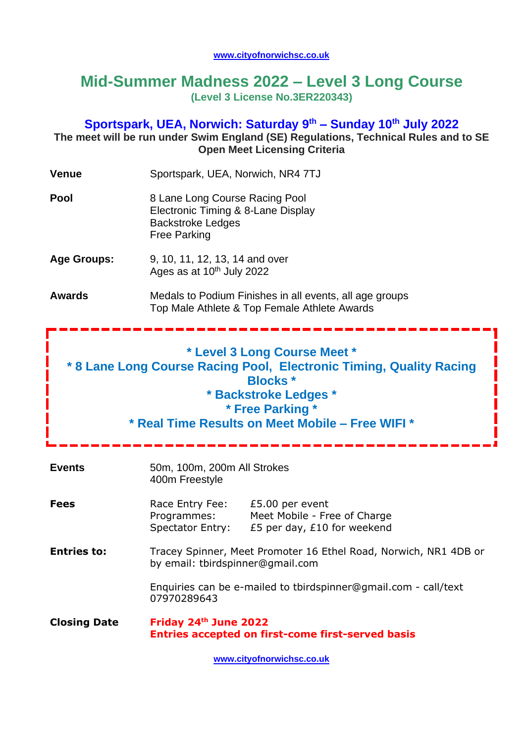#### **[www.cityofnorwichsc.co.uk](http://www.cityofnorwichsc.co.uk/)**

# **Mid-Summer Madness 2022 – Level 3 Long Course (Level 3 License No.3ER220343)**

### **Sportspark, UEA, Norwich: Saturday 9 th – Sunday 10th July 2022**

**The meet will be run under Swim England (SE) Regulations, Technical Rules and to SE Open Meet Licensing Criteria**

| <b>Venue</b>                                                                                                                                                                                                            | Sportspark, UEA, Norwich, NR4 7TJ                                                                                                   |  |  |  |  |  |  |
|-------------------------------------------------------------------------------------------------------------------------------------------------------------------------------------------------------------------------|-------------------------------------------------------------------------------------------------------------------------------------|--|--|--|--|--|--|
| <b>Pool</b>                                                                                                                                                                                                             | 8 Lane Long Course Racing Pool<br>Electronic Timing & 8-Lane Display<br><b>Backstroke Ledges</b><br><b>Free Parking</b>             |  |  |  |  |  |  |
| <b>Age Groups:</b>                                                                                                                                                                                                      | 9, 10, 11, 12, 13, 14 and over<br>Ages as at 10 <sup>th</sup> July 2022                                                             |  |  |  |  |  |  |
| <b>Awards</b>                                                                                                                                                                                                           | Medals to Podium Finishes in all events, all age groups<br>Top Male Athlete & Top Female Athlete Awards                             |  |  |  |  |  |  |
| * Level 3 Long Course Meet *<br>* 8 Lane Long Course Racing Pool, Electronic Timing, Quality Racing<br><b>Blocks</b> *<br>* Backstroke Ledges *<br>* Free Parking *<br>* Real Time Results on Meet Mobile - Free WIFI * |                                                                                                                                     |  |  |  |  |  |  |
| <b>Events</b>                                                                                                                                                                                                           | 50m, 100m, 200m All Strokes<br>400m Freestyle                                                                                       |  |  |  |  |  |  |
| <b>Fees</b>                                                                                                                                                                                                             | Race Entry Fee: £5.00 per event<br>Programmes:<br>Meet Mobile - Free of Charge<br>Spectator Entry:<br>£5 per day, $£10$ for weekend |  |  |  |  |  |  |
| <b>Entries to:</b>                                                                                                                                                                                                      | Tracey Spinner, Meet Promoter 16 Ethel Road, Norwich, NR1 4DB or<br>by email: tbirdspinner@gmail.com                                |  |  |  |  |  |  |
|                                                                                                                                                                                                                         | Enquiries can be e-mailed to tbirdspinner@gmail.com - call/text<br>07970289643                                                      |  |  |  |  |  |  |
| <b>Closing Date</b>                                                                                                                                                                                                     | Friday 24th June 2022<br><b>Entries accepted on first-come first-served basis</b>                                                   |  |  |  |  |  |  |
|                                                                                                                                                                                                                         | www.cityofnorwichsc.co.uk                                                                                                           |  |  |  |  |  |  |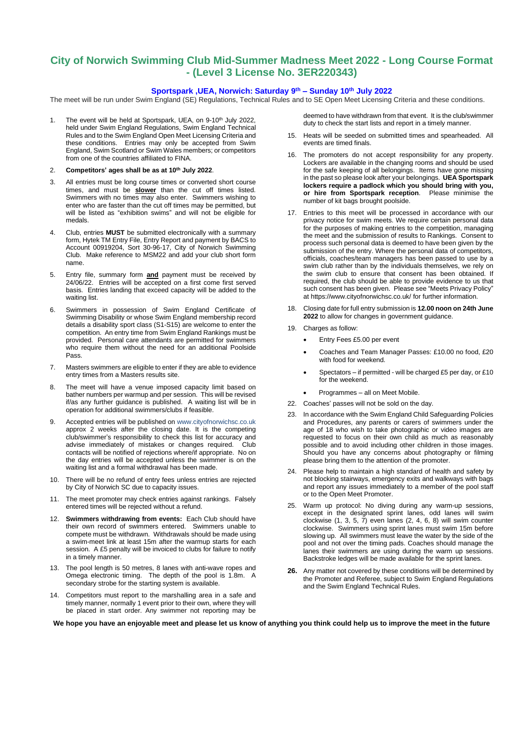#### **City of Norwich Swimming Club Mid-Summer Madness Meet 2022 - Long Course Format - (Level 3 License No. 3ER220343)**

#### **Sportspark ,UEA, Norwich: Saturday 9 th – Sunday 10 th July 2022**

The meet will be run under Swim England (SE) Regulations, Technical Rules and to SE Open Meet Licensing Criteria and these conditions.

- 1. The event will be held at Sportspark, UEA, on 9-10<sup>th</sup> July 2022, held under Swim England Regulations, Swim England Technical Rules and to the Swim England Open Meet Licensing Criteria and these conditions. Entries may only be accepted from Swim England, Swim Scotland or Swim Wales members; or competitors from one of the countries affiliated to FINA.
- 2. **Competitors' ages shall be as at 10th July 2022**.
- 3. All entries must be long course times or converted short course times, and must be **slower** than the cut off times listed. Swimmers with no times may also enter. Swimmers wishing to enter who are faster than the cut off times may be permitted, but will be listed as "exhibition swims" and will not be eligible for medals.
- 4. Club, entries **MUST** be submitted electronically with a summary form, Hytek TM Entry File, Entry Report and payment by BACS to Account 00919204, Sort 30-96-17, City of Norwich Swimming Club. Make reference to MSM22 and add your club short form name.
- 5. Entry file, summary form **and** payment must be received by 24/06/22. Entries will be accepted on a first come first served basis. Entries landing that exceed capacity will be added to the waiting list.
- 6. Swimmers in possession of Swim England Certificate of Swimming Disability or whose Swim England membership record details a disability sport class (S1-S15) are welcome to enter the competition. An entry time from Swim England Rankings must be provided. Personal care attendants are permitted for swimmers who require them without the need for an additional Poolside Pass.
- 7. Masters swimmers are eligible to enter if they are able to evidence entry times from a Masters results site.
- 8. The meet will have a venue imposed capacity limit based on bather numbers per warmup and per session. This will be revised if/as any further guidance is published. A waiting list will be in operation for additional swimmers/clubs if feasible.
- 9. Accepted entries will be published on [www.cityofnorwichsc.co.uk](http://www.cityofnorwichsc.co.uk/) approx 2 weeks after the closing date. It is the competing club/swimmer's responsibility to check this list for accuracy and advise immediately of mistakes or changes required. Club contacts will be notified of rejections where/if appropriate. No on the day entries will be accepted unless the swimmer is on the waiting list and a formal withdrawal has been made.
- 10. There will be no refund of entry fees unless entries are rejected by City of Norwich SC due to capacity issues.
- 11. The meet promoter may check entries against rankings. Falsely entered times will be rejected without a refund.
- 12. **Swimmers withdrawing from events:** Each Club should have their own record of swimmers entered. Swimmers unable to compete must be withdrawn. Withdrawals should be made using a swim-meet link at least 15m after the warmup starts for each session. A £5 penalty will be invoiced to clubs for failure to notify in a timely manner.
- 13. The pool length is 50 metres, 8 lanes with anti-wave ropes and Omega electronic timing. The depth of the pool is 1.8m. A secondary strobe for the starting system is available.
- 14. Competitors must report to the marshalling area in a safe and timely manner, normally 1 event prior to their own, where they will be placed in start order. Any swimmer not reporting may be

deemed to have withdrawn from that event. It is the club/swimmer duty to check the start lists and report in a timely manner.

- 15. Heats will be seeded on submitted times and spearheaded. All events are timed finals.
- 16. The promoters do not accept responsibility for any property. Lockers are available in the changing rooms and should be used for the safe keeping of all belongings. Items have gone missing in the past so please look after your belongings. **UEA Sportspark lockers require a padlock which you should bring with you, or hire from Sportspark reception**. Please minimise the number of kit bags brought poolside.
- 17. Entries to this meet will be processed in accordance with our privacy notice for swim meets. We require certain personal data for the purposes of making entries to the competition, managing the meet and the submission of results to Rankings. Consent to process such personal data is deemed to have been given by the submission of the entry. Where the personal data of competitors, officials, coaches/team managers has been passed to use by a swim club rather than by the individuals themselves, we rely on the swim club to ensure that consent has been obtained. If required, the club should be able to provide evidence to us that such consent has been given. Please see "Meets Privacy Policy" at <https://www.cityofnorwichsc.co.uk/> for further information.
- 18. Closing date for full entry submission is **12.00 noon on 24th June 2022** to allow for changes in government guidance.
- 19. Charges as follow:
	- Entry Fees £5.00 per event
	- Coaches and Team Manager Passes: £10.00 no food, £20 with food for weekend.
	- Spectators if permitted will be charged £5 per day, or £10 for the weekend.
	- Programmes all on Meet Mobile.
- 22. Coaches' passes will not be sold on the day.
- 23. In accordance with the Swim England Child Safeguarding Policies and Procedures, any parents or carers of swimmers under the age of 18 who wish to take photographic or video images are requested to focus on their own child as much as reasonably possible and to avoid including other children in those images. Should you have any concerns about photography or filming please bring them to the attention of the promoter.
- 24. Please help to maintain a high standard of health and safety by not blocking stairways, emergency exits and walkways with bags and report any issues immediately to a member of the pool staff or to the Open Meet Promoter.
- 25. Warm up protocol: No diving during any warm-up sessions, except in the designated sprint lanes, odd lanes will swim clockwise (1, 3, 5, 7) even lanes (2, 4, 6, 8) will swim counter clockwise. Swimmers using sprint lanes must swim 15m before slowing up. All swimmers must leave the water by the side of the pool and not over the timing pads. Coaches should manage the lanes their swimmers are using during the warm up sessions. Backstroke ledges will be made available for the sprint lanes.
- **26.** Any matter not covered by these conditions will be determined by the Promoter and Referee, subject to Swim England Regulations and the Swim England Technical Rules.

We hope you have an enjoyable meet and please let us know of anything you think could help us to improve the meet in the future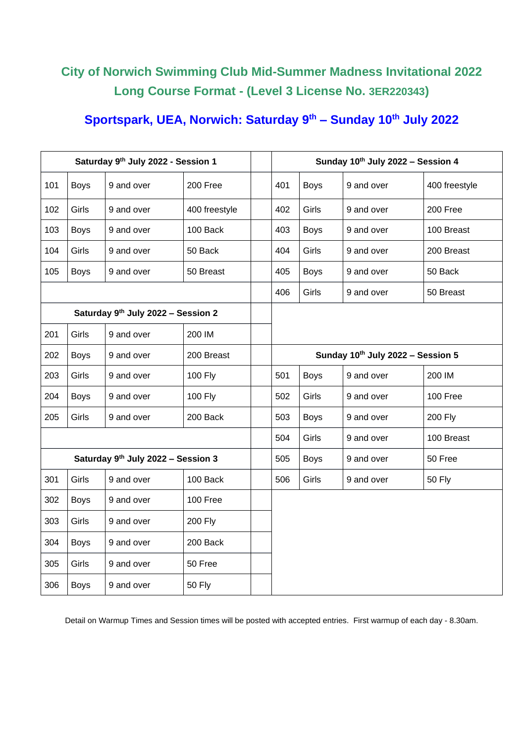# **City of Norwich Swimming Club Mid-Summer Madness Invitational 2022 Long Course Format - (Level 3 License No. 3ER220343)**

## **Sportspark, UEA, Norwich: Saturday 9 th – Sunday 10th July 2022**

|                                                |             | Saturday 9th July 2022 - Session 1 |                |  | Sunday 10th July 2022 - Session 4 |             |            |               |  |  |
|------------------------------------------------|-------------|------------------------------------|----------------|--|-----------------------------------|-------------|------------|---------------|--|--|
| 101                                            | <b>Boys</b> | 9 and over                         | 200 Free       |  | 401                               | <b>Boys</b> | 9 and over | 400 freestyle |  |  |
| 102                                            | Girls       | 9 and over                         | 400 freestyle  |  | 402                               | Girls       | 9 and over | 200 Free      |  |  |
| 103                                            | <b>Boys</b> | 9 and over                         | 100 Back       |  | 403                               | <b>Boys</b> | 9 and over | 100 Breast    |  |  |
| 104                                            | Girls       | 9 and over                         | 50 Back        |  | 404<br>Girls                      |             | 9 and over | 200 Breast    |  |  |
| 105                                            | <b>Boys</b> | 9 and over                         | 50 Breast      |  | 405                               | <b>Boys</b> | 9 and over | 50 Back       |  |  |
|                                                |             |                                    |                |  | 406                               | Girls       | 9 and over | 50 Breast     |  |  |
| Saturday 9th July 2022 - Session 2             |             |                                    |                |  |                                   |             |            |               |  |  |
| 201                                            | Girls       | 9 and over                         | 200 IM         |  |                                   |             |            |               |  |  |
| 202<br><b>Boys</b><br>9 and over<br>200 Breast |             |                                    |                |  | Sunday 10th July 2022 - Session 5 |             |            |               |  |  |
| 203                                            | Girls       | 9 and over                         | 100 Fly        |  | 501                               | <b>Boys</b> | 9 and over | 200 IM        |  |  |
| 204                                            | <b>Boys</b> | 9 and over                         | 100 Fly        |  | 502                               | Girls       | 9 and over | 100 Free      |  |  |
| 205                                            | Girls       | 9 and over                         | 200 Back       |  | 503                               | <b>Boys</b> | 9 and over | 200 Fly       |  |  |
|                                                |             |                                    |                |  | 504                               | Girls       | 9 and over | 100 Breast    |  |  |
|                                                |             | Saturday 9th July 2022 - Session 3 |                |  | 505                               | <b>Boys</b> | 9 and over | 50 Free       |  |  |
| 301                                            | Girls       | 9 and over                         | 100 Back       |  | 506                               | Girls       | 9 and over | <b>50 Fly</b> |  |  |
| 302                                            | <b>Boys</b> | 9 and over                         | 100 Free       |  |                                   |             |            |               |  |  |
| 303                                            | Girls       | 9 and over                         | <b>200 Fly</b> |  |                                   |             |            |               |  |  |
| 304                                            | <b>Boys</b> | 9 and over                         | 200 Back       |  |                                   |             |            |               |  |  |
| 305                                            | Girls       | 9 and over                         | 50 Free        |  |                                   |             |            |               |  |  |
| 306                                            | <b>Boys</b> | 9 and over                         | <b>50 Fly</b>  |  |                                   |             |            |               |  |  |

Detail on Warmup Times and Session times will be posted with accepted entries. First warmup of each day - 8.30am.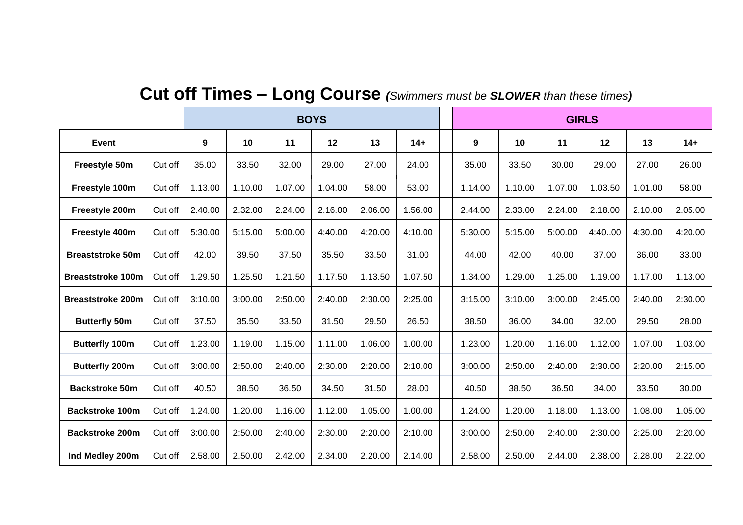|                          |         | <b>BOYS</b> |         |         |         |         |         |  | <b>GIRLS</b> |         |         |         |         |         |
|--------------------------|---------|-------------|---------|---------|---------|---------|---------|--|--------------|---------|---------|---------|---------|---------|
| <b>Event</b>             |         | 9           | 10      | 11      | 12      | 13      | $14+$   |  | 9            | 10      | 11      | 12      | 13      | $14+$   |
| Freestyle 50m            | Cut off | 35.00       | 33.50   | 32.00   | 29.00   | 27.00   | 24.00   |  | 35.00        | 33.50   | 30.00   | 29.00   | 27.00   | 26.00   |
| Freestyle 100m           | Cut off | 1.13.00     | 1.10.00 | 1.07.00 | 1.04.00 | 58.00   | 53.00   |  | 1.14.00      | 1.10.00 | 1.07.00 | 1.03.50 | 1.01.00 | 58.00   |
| Freestyle 200m           | Cut off | 2.40.00     | 2.32.00 | 2.24.00 | 2.16.00 | 2.06.00 | 1.56.00 |  | 2.44.00      | 2.33.00 | 2.24.00 | 2.18.00 | 2.10.00 | 2.05.00 |
| Freestyle 400m           | Cut off | 5:30.00     | 5:15.00 | 5:00.00 | 4:40.00 | 4:20.00 | 4:10.00 |  | 5:30.00      | 5:15.00 | 5:00.00 | 4:40.00 | 4:30.00 | 4:20.00 |
| <b>Breaststroke 50m</b>  | Cut off | 42.00       | 39.50   | 37.50   | 35.50   | 33.50   | 31.00   |  | 44.00        | 42.00   | 40.00   | 37.00   | 36.00   | 33.00   |
| <b>Breaststroke 100m</b> | Cut off | 1.29.50     | 1.25.50 | 1.21.50 | 1.17.50 | 1.13.50 | 1.07.50 |  | 1.34.00      | 1.29.00 | 1.25.00 | 1.19.00 | 1.17.00 | 1.13.00 |
| <b>Breaststroke 200m</b> | Cut off | 3:10.00     | 3:00.00 | 2:50.00 | 2:40.00 | 2:30.00 | 2:25.00 |  | 3:15.00      | 3:10.00 | 3:00.00 | 2:45.00 | 2:40.00 | 2:30.00 |
| <b>Butterfly 50m</b>     | Cut off | 37.50       | 35.50   | 33.50   | 31.50   | 29.50   | 26.50   |  | 38.50        | 36.00   | 34.00   | 32.00   | 29.50   | 28.00   |
| <b>Butterfly 100m</b>    | Cut off | 1.23.00     | 1.19.00 | 1.15.00 | 1.11.00 | 1.06.00 | 1.00.00 |  | 1.23.00      | 1.20.00 | 1.16.00 | 1.12.00 | 1.07.00 | 1.03.00 |
| <b>Butterfly 200m</b>    | Cut off | 3:00.00     | 2:50.00 | 2:40.00 | 2:30.00 | 2:20.00 | 2:10.00 |  | 3:00.00      | 2:50.00 | 2:40.00 | 2:30.00 | 2:20.00 | 2:15.00 |
| <b>Backstroke 50m</b>    | Cut off | 40.50       | 38.50   | 36.50   | 34.50   | 31.50   | 28.00   |  | 40.50        | 38.50   | 36.50   | 34.00   | 33.50   | 30.00   |
| <b>Backstroke 100m</b>   | Cut off | 1.24.00     | 1.20.00 | 1.16.00 | 1.12.00 | 1.05.00 | 1.00.00 |  | 1.24.00      | 1.20.00 | 1.18.00 | 1.13.00 | 1.08.00 | 1.05.00 |
| <b>Backstroke 200m</b>   | Cut off | 3:00.00     | 2:50.00 | 2:40.00 | 2:30.00 | 2:20.00 | 2:10.00 |  | 3:00.00      | 2:50.00 | 2:40.00 | 2:30.00 | 2:25.00 | 2:20.00 |
| Ind Medley 200m          | Cut off | 2.58.00     | 2.50.00 | 2.42.00 | 2.34.00 | 2.20.00 | 2.14.00 |  | 2.58.00      | 2.50.00 | 2.44.00 | 2.38.00 | 2.28.00 | 2.22.00 |

# **Cut off Times – Long Course** *(Swimmers must be SLOWER than these times)*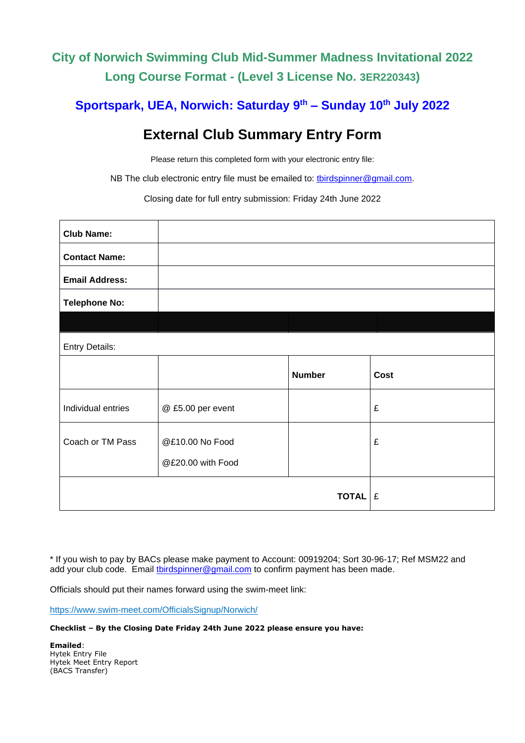# **City of Norwich Swimming Club Mid-Summer Madness Invitational 2022 Long Course Format - (Level 3 License No. 3ER220343)**

### **Sportspark, UEA, Norwich: Saturday 9 th – Sunday 10th July 2022**

# **External Club Summary Entry Form**

Please return this completed form with your electronic entry file:

NB The club electronic entry file must be emailed to: *[tbirdspinner@gmail.com.](mailto:tbirdspinner@gmail.com)* 

Closing date for full entry submission: Friday 24th June 2022

| <b>Club Name:</b>     |                                      |                |             |
|-----------------------|--------------------------------------|----------------|-------------|
| <b>Contact Name:</b>  |                                      |                |             |
| <b>Email Address:</b> |                                      |                |             |
| <b>Telephone No:</b>  |                                      |                |             |
|                       |                                      |                |             |
| <b>Entry Details:</b> |                                      |                |             |
|                       |                                      | <b>Number</b>  | <b>Cost</b> |
| Individual entries    | @ £5.00 per event                    |                | £           |
| Coach or TM Pass      | @£10.00 No Food<br>@£20.00 with Food |                | £           |
|                       |                                      | <b>TOTAL</b> E |             |

\* If you wish to pay by BACs please make payment to Account: 00919204; Sort 30-96-17; Ref MSM22 and add your club code. Email [tbirdspinner@gmail.com](mailto:tbirdspinner@gmail.com) to confirm payment has been made.

Officials should put their names forward using the swim-meet link:

<https://www.swim-meet.com/OfficialsSignup/Norwich/>

#### **Checklist – By the Closing Date Friday 24th June 2022 please ensure you have:**

**Emailed**: Hytek Entry File Hytek Meet Entry Report (BACS Transfer)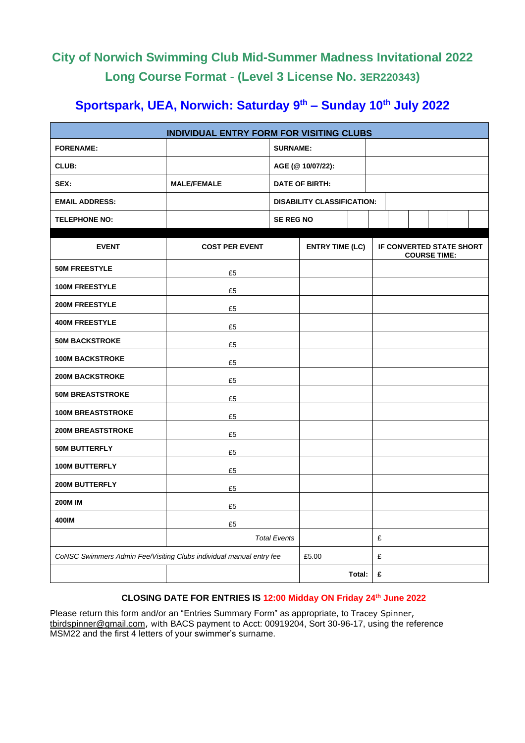# **City of Norwich Swimming Club Mid-Summer Madness Invitational 2022 Long Course Format - (Level 3 License No. 3ER220343)**

# **Sportspark, UEA, Norwich: Saturday 9 th – Sunday 10th July 2022**

| INDIVIDUAL ENTRY FORM FOR VISITING CLUBS                            |                       |                     |                                   |        |   |                                 |                     |  |  |  |
|---------------------------------------------------------------------|-----------------------|---------------------|-----------------------------------|--------|---|---------------------------------|---------------------|--|--|--|
| <b>FORENAME:</b>                                                    |                       | <b>SURNAME:</b>     |                                   |        |   |                                 |                     |  |  |  |
| CLUB:                                                               |                       |                     | AGE (@ 10/07/22):                 |        |   |                                 |                     |  |  |  |
| SEX:                                                                | <b>MALE/FEMALE</b>    |                     | <b>DATE OF BIRTH:</b>             |        |   |                                 |                     |  |  |  |
| <b>EMAIL ADDRESS:</b>                                               |                       |                     | <b>DISABILITY CLASSIFICATION:</b> |        |   |                                 |                     |  |  |  |
| <b>TELEPHONE NO:</b>                                                |                       | <b>SE REG NO</b>    |                                   |        |   |                                 |                     |  |  |  |
| <b>EVENT</b>                                                        | <b>COST PER EVENT</b> |                     | <b>ENTRY TIME (LC)</b>            |        |   | <b>IF CONVERTED STATE SHORT</b> | <b>COURSE TIME:</b> |  |  |  |
| <b>50M FREESTYLE</b>                                                | £5                    |                     |                                   |        |   |                                 |                     |  |  |  |
| <b>100M FREESTYLE</b>                                               | £5                    |                     |                                   |        |   |                                 |                     |  |  |  |
| <b>200M FREESTYLE</b>                                               | £5                    |                     |                                   |        |   |                                 |                     |  |  |  |
| <b>400M FREESTYLE</b>                                               | £5                    |                     |                                   |        |   |                                 |                     |  |  |  |
| <b>50M BACKSTROKE</b>                                               | £5                    |                     |                                   |        |   |                                 |                     |  |  |  |
| <b>100M BACKSTROKE</b>                                              | £5                    |                     |                                   |        |   |                                 |                     |  |  |  |
| <b>200M BACKSTROKE</b>                                              | £5                    |                     |                                   |        |   |                                 |                     |  |  |  |
| <b>50M BREASTSTROKE</b>                                             | £5                    |                     |                                   |        |   |                                 |                     |  |  |  |
| <b>100M BREASTSTROKE</b>                                            | £5                    |                     |                                   |        |   |                                 |                     |  |  |  |
| <b>200M BREASTSTROKE</b>                                            | £5                    |                     |                                   |        |   |                                 |                     |  |  |  |
| <b>50M BUTTERFLY</b>                                                | £5                    |                     |                                   |        |   |                                 |                     |  |  |  |
| <b>100M BUTTERFLY</b>                                               | £5                    |                     |                                   |        |   |                                 |                     |  |  |  |
| <b>200M BUTTERFLY</b>                                               | £5                    |                     |                                   |        |   |                                 |                     |  |  |  |
| <b>200M IM</b>                                                      | £5                    |                     |                                   |        |   |                                 |                     |  |  |  |
| 400IM                                                               | £5                    |                     |                                   |        |   |                                 |                     |  |  |  |
|                                                                     |                       | <b>Total Events</b> |                                   |        | £ |                                 |                     |  |  |  |
| CoNSC Swimmers Admin Fee/Visiting Clubs individual manual entry fee |                       | £5.00               |                                   | £      |   |                                 |                     |  |  |  |
|                                                                     |                       |                     |                                   | Total: | £ |                                 |                     |  |  |  |

### **CLOSING DATE FOR ENTRIES IS 12:00 Midday ON Friday 24th June 2022**

Please return this form and/or an "Entries Summary Form" as appropriate, to Tracey Spinner, [tbirdspinner@gmail.com](mailto:tbirdspinner@gmail.com), with BACS payment to Acct: 00919204, Sort 30-96-17, using the reference MSM22 and the first 4 letters of your swimmer's surname.